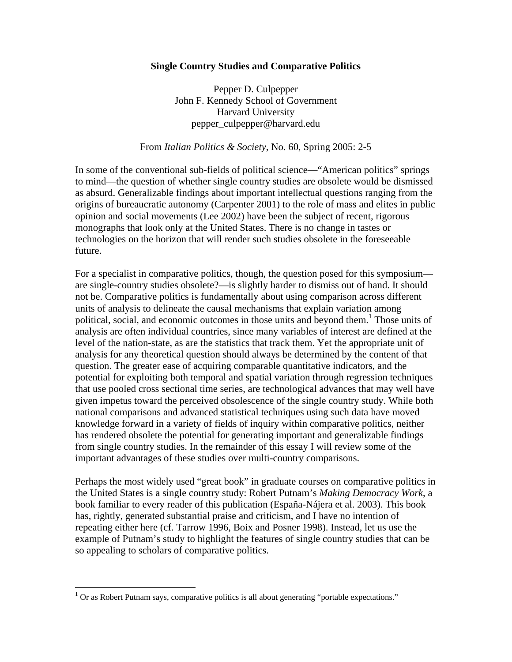## **Single Country Studies and Comparative Politics**

Pepper D. Culpepper John F. Kennedy School of Government Harvard University pepper\_culpepper@harvard.edu

## From *Italian Politics & Society*, No. 60, Spring 2005: 2-5

In some of the conventional sub-fields of political science—"American politics" springs to mind—the question of whether single country studies are obsolete would be dismissed as absurd. Generalizable findings about important intellectual questions ranging from the origins of bureaucratic autonomy (Carpenter 2001) to the role of mass and elites in public opinion and social movements (Lee 2002) have been the subject of recent, rigorous monographs that look only at the United States. There is no change in tastes or technologies on the horizon that will render such studies obsolete in the foreseeable future.

For a specialist in comparative politics, though, the question posed for this symposium are single-country studies obsolete?—is slightly harder to dismiss out of hand. It should not be. Comparative politics is fundamentally about using comparison across different units of analysis to delineate the causal mechanisms that explain variation among political, social, and economic outcomes in those units and beyond them.<sup>1</sup> Those units of analysis are often individual countries, since many variables of interest are defined at the level of the nation-state, as are the statistics that track them. Yet the appropriate unit of analysis for any theoretical question should always be determined by the content of that question. The greater ease of acquiring comparable quantitative indicators, and the potential for exploiting both temporal and spatial variation through regression techniques that use pooled cross sectional time series, are technological advances that may well have given impetus toward the perceived obsolescence of the single country study. While both national comparisons and advanced statistical techniques using such data have moved knowledge forward in a variety of fields of inquiry within comparative politics, neither has rendered obsolete the potential for generating important and generalizable findings from single country studies. In the remainder of this essay I will review some of the important advantages of these studies over multi-country comparisons.

Perhaps the most widely used "great book" in graduate courses on comparative politics in the United States is a single country study: Robert Putnam's *Making Democracy Work*, a book familiar to every reader of this publication (España-Nájera et al. 2003). This book has, rightly, generated substantial praise and criticism, and I have no intention of repeating either here (cf. Tarrow 1996, Boix and Posner 1998). Instead, let us use the example of Putnam's study to highlight the features of single country studies that can be so appealing to scholars of comparative politics.

<u>.</u>

 $1$  Or as Robert Putnam says, comparative politics is all about generating "portable expectations."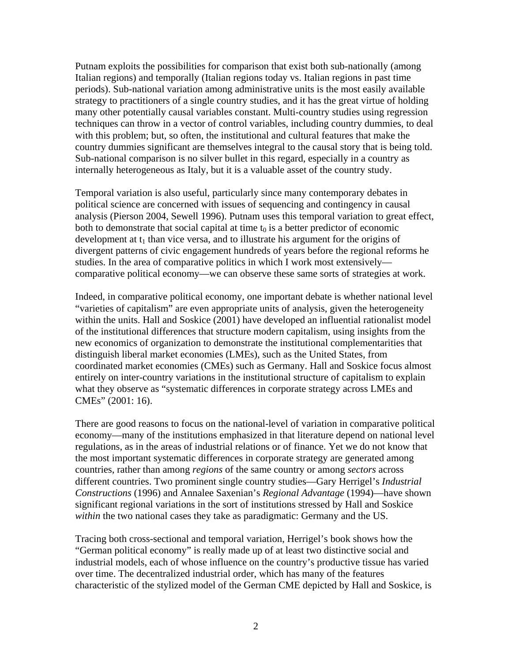Putnam exploits the possibilities for comparison that exist both sub-nationally (among Italian regions) and temporally (Italian regions today vs. Italian regions in past time periods). Sub-national variation among administrative units is the most easily available strategy to practitioners of a single country studies, and it has the great virtue of holding many other potentially causal variables constant. Multi-country studies using regression techniques can throw in a vector of control variables, including country dummies, to deal with this problem; but, so often, the institutional and cultural features that make the country dummies significant are themselves integral to the causal story that is being told. Sub-national comparison is no silver bullet in this regard, especially in a country as internally heterogeneous as Italy, but it is a valuable asset of the country study.

Temporal variation is also useful, particularly since many contemporary debates in political science are concerned with issues of sequencing and contingency in causal analysis (Pierson 2004, Sewell 1996). Putnam uses this temporal variation to great effect, both to demonstrate that social capital at time  $t_0$  is a better predictor of economic development at  $t_1$  than vice versa, and to illustrate his argument for the origins of divergent patterns of civic engagement hundreds of years before the regional reforms he studies. In the area of comparative politics in which I work most extensively comparative political economy—we can observe these same sorts of strategies at work.

Indeed, in comparative political economy, one important debate is whether national level "varieties of capitalism" are even appropriate units of analysis, given the heterogeneity within the units. Hall and Soskice (2001) have developed an influential rationalist model of the institutional differences that structure modern capitalism, using insights from the new economics of organization to demonstrate the institutional complementarities that distinguish liberal market economies (LMEs), such as the United States, from coordinated market economies (CMEs) such as Germany. Hall and Soskice focus almost entirely on inter-country variations in the institutional structure of capitalism to explain what they observe as "systematic differences in corporate strategy across LMEs and CMEs" (2001: 16).

There are good reasons to focus on the national-level of variation in comparative political economy—many of the institutions emphasized in that literature depend on national level regulations, as in the areas of industrial relations or of finance. Yet we do not know that the most important systematic differences in corporate strategy are generated among countries, rather than among *regions* of the same country or among *sectors* across different countries. Two prominent single country studies—Gary Herrigel's *Industrial Constructions* (1996) and Annalee Saxenian's *Regional Advantage* (1994)—have shown significant regional variations in the sort of institutions stressed by Hall and Soskice *within* the two national cases they take as paradigmatic: Germany and the US.

Tracing both cross-sectional and temporal variation, Herrigel's book shows how the "German political economy" is really made up of at least two distinctive social and industrial models, each of whose influence on the country's productive tissue has varied over time. The decentralized industrial order, which has many of the features characteristic of the stylized model of the German CME depicted by Hall and Soskice, is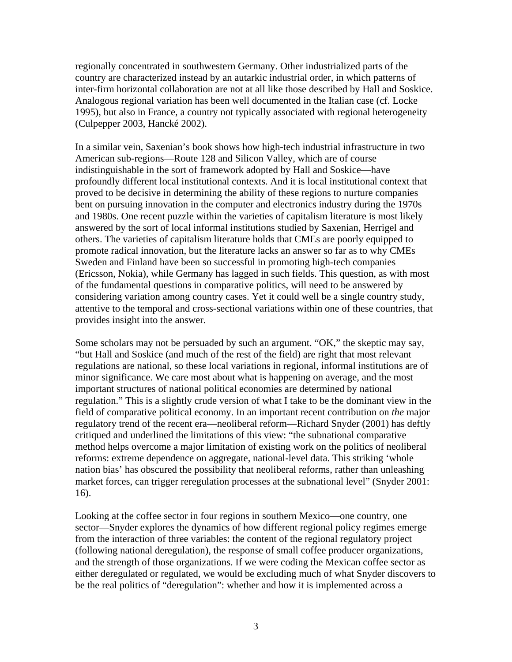regionally concentrated in southwestern Germany. Other industrialized parts of the country are characterized instead by an autarkic industrial order, in which patterns of inter-firm horizontal collaboration are not at all like those described by Hall and Soskice. Analogous regional variation has been well documented in the Italian case (cf. Locke 1995), but also in France, a country not typically associated with regional heterogeneity (Culpepper 2003, Hancké 2002).

In a similar vein, Saxenian's book shows how high-tech industrial infrastructure in two American sub-regions—Route 128 and Silicon Valley, which are of course indistinguishable in the sort of framework adopted by Hall and Soskice—have profoundly different local institutional contexts. And it is local institutional context that proved to be decisive in determining the ability of these regions to nurture companies bent on pursuing innovation in the computer and electronics industry during the 1970s and 1980s. One recent puzzle within the varieties of capitalism literature is most likely answered by the sort of local informal institutions studied by Saxenian, Herrigel and others. The varieties of capitalism literature holds that CMEs are poorly equipped to promote radical innovation, but the literature lacks an answer so far as to why CMEs Sweden and Finland have been so successful in promoting high-tech companies (Ericsson, Nokia), while Germany has lagged in such fields. This question, as with most of the fundamental questions in comparative politics, will need to be answered by considering variation among country cases. Yet it could well be a single country study, attentive to the temporal and cross-sectional variations within one of these countries, that provides insight into the answer.

Some scholars may not be persuaded by such an argument. "OK," the skeptic may say, "but Hall and Soskice (and much of the rest of the field) are right that most relevant regulations are national, so these local variations in regional, informal institutions are of minor significance. We care most about what is happening on average, and the most important structures of national political economies are determined by national regulation." This is a slightly crude version of what I take to be the dominant view in the field of comparative political economy. In an important recent contribution on *the* major regulatory trend of the recent era—neoliberal reform—Richard Snyder (2001) has deftly critiqued and underlined the limitations of this view: "the subnational comparative method helps overcome a major limitation of existing work on the politics of neoliberal reforms: extreme dependence on aggregate, national-level data. This striking 'whole nation bias' has obscured the possibility that neoliberal reforms, rather than unleashing market forces, can trigger reregulation processes at the subnational level" (Snyder 2001: 16).

Looking at the coffee sector in four regions in southern Mexico—one country, one sector—Snyder explores the dynamics of how different regional policy regimes emerge from the interaction of three variables: the content of the regional regulatory project (following national deregulation), the response of small coffee producer organizations, and the strength of those organizations. If we were coding the Mexican coffee sector as either deregulated or regulated, we would be excluding much of what Snyder discovers to be the real politics of "deregulation": whether and how it is implemented across a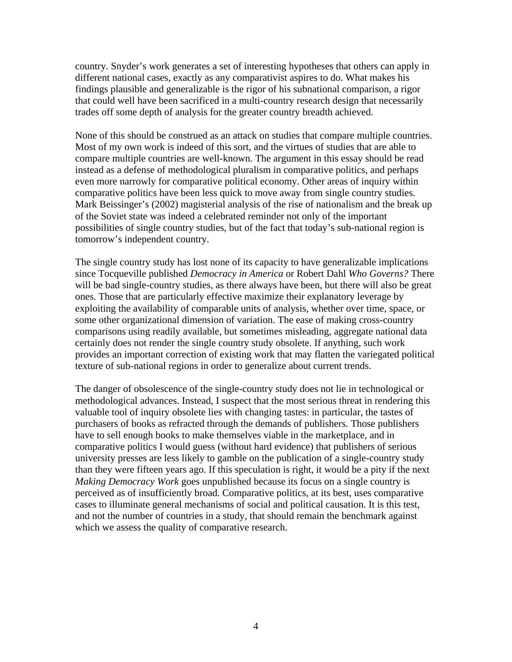country. Snyder's work generates a set of interesting hypotheses that others can apply in different national cases, exactly as any comparativist aspires to do. What makes his findings plausible and generalizable is the rigor of his subnational comparison, a rigor that could well have been sacrificed in a multi-country research design that necessarily trades off some depth of analysis for the greater country breadth achieved.

None of this should be construed as an attack on studies that compare multiple countries. Most of my own work is indeed of this sort, and the virtues of studies that are able to compare multiple countries are well-known. The argument in this essay should be read instead as a defense of methodological pluralism in comparative politics, and perhaps even more narrowly for comparative political economy. Other areas of inquiry within comparative politics have been less quick to move away from single country studies. Mark Beissinger's (2002) magisterial analysis of the rise of nationalism and the break up of the Soviet state was indeed a celebrated reminder not only of the important possibilities of single country studies, but of the fact that today's sub-national region is tomorrow's independent country.

The single country study has lost none of its capacity to have generalizable implications since Tocqueville published *Democracy in America* or Robert Dahl *Who Governs?* There will be bad single-country studies, as there always have been, but there will also be great ones. Those that are particularly effective maximize their explanatory leverage by exploiting the availability of comparable units of analysis, whether over time, space, or some other organizational dimension of variation. The ease of making cross-country comparisons using readily available, but sometimes misleading, aggregate national data certainly does not render the single country study obsolete. If anything, such work provides an important correction of existing work that may flatten the variegated political texture of sub-national regions in order to generalize about current trends.

The danger of obsolescence of the single-country study does not lie in technological or methodological advances. Instead, I suspect that the most serious threat in rendering this valuable tool of inquiry obsolete lies with changing tastes: in particular, the tastes of purchasers of books as refracted through the demands of publishers. Those publishers have to sell enough books to make themselves viable in the marketplace, and in comparative politics I would guess (without hard evidence) that publishers of serious university presses are less likely to gamble on the publication of a single-country study than they were fifteen years ago. If this speculation is right, it would be a pity if the next *Making Democracy Work* goes unpublished because its focus on a single country is perceived as of insufficiently broad. Comparative politics, at its best, uses comparative cases to illuminate general mechanisms of social and political causation. It is this test, and not the number of countries in a study, that should remain the benchmark against which we assess the quality of comparative research.